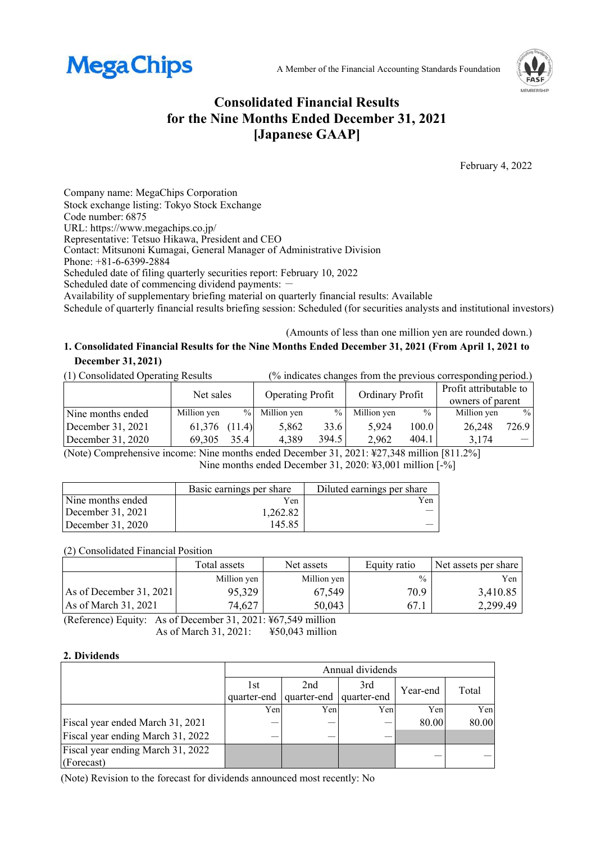



# **Consolidated Financial Results for the Nine Months Ended December 31, 2021 [Japanese GAAP]**

February 4, 2022

Company name: MegaChips Corporation Stock exchange listing: Tokyo Stock Exchange Code number: 6875 URL: https://www.megachips.co.jp/ Representative: Tetsuo Hikawa, President and CEO Contact: Mitsunoni Kumagai, General Manager of Administrative Division Phone: +81-6-6399-2884 Scheduled date of filing quarterly securities report: February 10, 2022 Scheduled date of commencing dividend payments: -Availability of supplementary briefing material on quarterly financial results: Available Schedule of quarterly financial results briefing session: Scheduled (for securities analysts and institutional investors)

(Amounts of less than one million yen are rounded down.)

## **1. Consolidated Financial Results for the Nine Months Ended December 31, 2021 (From April 1, 2021 to December 31, 2021)**

(1) Consolidated Operating Results (% indicates changes from the previous corresponding period.)

|                   | Net sales   |        | <b>Operating Profit</b> |               | Ordinary Profit |       | Profit attributable to<br>owners of parent |       |
|-------------------|-------------|--------|-------------------------|---------------|-----------------|-------|--------------------------------------------|-------|
| Nine months ended | Million yen |        | % Million yen           | $\frac{0}{0}$ | Million yen     | $\%$  | Million yen                                | $\%$  |
| December 31, 2021 | 61,376      | (11.4) | 5.862                   | 33.6          | 5.924           | 100.0 | 26,248                                     | 726.9 |
| December 31, 2020 | 69.305      | 35.4   | 4,389                   | 394.5         | 2.962           | 404.1 | 3.174                                      |       |

(Note) Comprehensive income: Nine months ended December 31, 2021: ¥27,348 million [811.2%] Nine months ended December 31, 2020: ¥3,001 million [-%]

|                     | Basic earnings per share | Diluted earnings per share |
|---------------------|--------------------------|----------------------------|
| Nine months ended   | Yen                      | Yen                        |
| December $31, 2021$ | 1,262.82                 |                            |
| December $31, 2020$ | 145.85                   |                            |

### (2) Consolidated Financial Position

|                           | Total assets | Net assets  | Equity ratio  | Net assets per share |
|---------------------------|--------------|-------------|---------------|----------------------|
|                           | Million ven  | Million yen | $\frac{0}{0}$ | Yen                  |
| As of December $31, 2021$ | 95,329       | 67,549      | 70.9          | 3,410.85             |
| As of March 31, 2021      | 74,627       | 50,043      | 67.1          | 2.299.49             |

(Reference) Equity: As of December 31, 2021: ¥67,549 million As of March 31, 2021: ¥50,043 million

### **2. Dividends**

|                                   | Annual dividends |                         |     |          |       |  |  |
|-----------------------------------|------------------|-------------------------|-----|----------|-------|--|--|
|                                   | 1st              | 2nd                     | 3rd | Year-end | Total |  |  |
|                                   | quarter-end      | quarter-end quarter-end |     |          |       |  |  |
|                                   | Yen              | Yen                     | Yen | Yenl     | Yen   |  |  |
| Fiscal year ended March 31, 2021  |                  |                         |     | 80.00    | 80.00 |  |  |
| Fiscal year ending March 31, 2022 |                  |                         |     |          |       |  |  |
| Fiscal year ending March 31, 2022 |                  |                         |     |          |       |  |  |
| (Forecast)                        |                  |                         |     |          |       |  |  |

(Note) Revision to the forecast for dividends announced most recently: No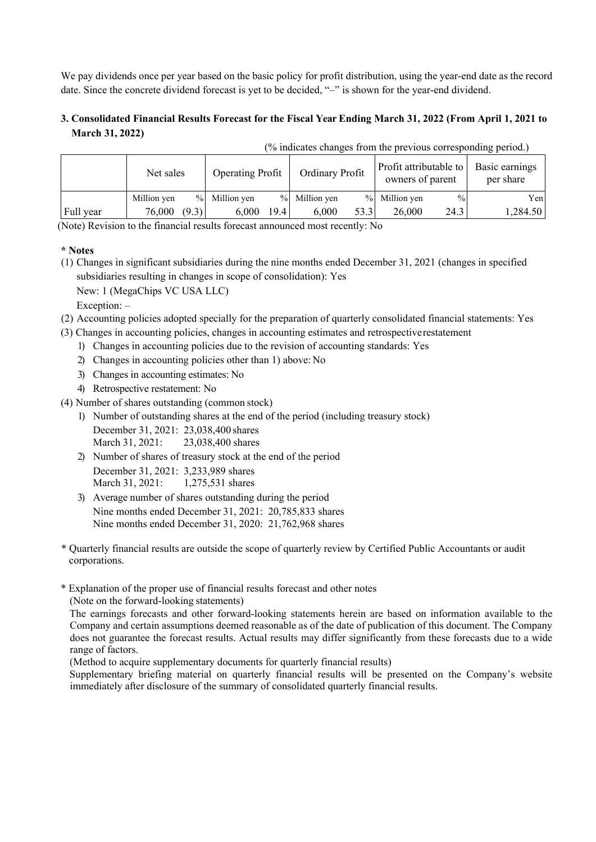We pay dividends once per year based on the basic policy for profit distribution, using the year-end date as the record date. Since the concrete dividend forecast is yet to be decided, "–" is shown for the year-end dividend.

## **3. Consolidated Financial Results Forecast for the Fiscal Year Ending March 31, 2022 (From April 1, 2021 to March 31, 2022)**

|           | Net sales   |       | <b>Operating Profit</b> |      | Ordinary Profit |      | Profit attributable to<br>owners of parent |               | Basic earnings<br>per share |
|-----------|-------------|-------|-------------------------|------|-----------------|------|--------------------------------------------|---------------|-----------------------------|
|           | Million yen |       | % Million yen           |      | % Million yen   |      | % Million yen                              | $\frac{0}{0}$ | Yen                         |
| Full year | 76,000      | (9.3) | 6,000                   | 19.4 | 6.000           | 53.3 | 26,000                                     | 24.3          | 1,284.50                    |

(% indicates changes from the previous corresponding period.)

(Note) Revision to the financial results forecast announced most recently: No

#### **\* Notes**

(1) Changes in significant subsidiaries during the nine months ended December 31, 2021 (changes in specified subsidiaries resulting in changes in scope of consolidation): Yes

New: 1 (MegaChips VC USA LLC)

Exception:  $-$ 

- (2) Accounting policies adopted specially for the preparation of quarterly consolidated financial statements: Yes
- (3) Changes in accounting policies, changes in accounting estimates and retrospective restatement
	- 1) Changes in accounting policies due to the revision of accounting standards: Yes
	- 2) Changes in accounting policies other than 1) above: No
	- 3) Changes in accounting estimates: No
	- 4) Retrospective restatement: No
- (4) Number of shares outstanding (common stock)
	- 1) Number of outstanding shares at the end of the period (including treasury stock)
		- December 31, 2021: 23,038,400 shares March 31, 2021: 23,038,400 shares
	- 2) Number of shares of treasury stock at the end of the period December 31, 2021: 3,233,989 shares March 31, 2021: 1,275,531 shares
	- 3) Average number of shares outstanding during the period Nine months ended December 31, 2021: 20,785,833 shares Nine months ended December 31, 2020: 21,762,968 shares
- \* Quarterly financial results are outside the scope of quarterly review by Certified Public Accountants or audit corporations.
- \* Explanation of the proper use of financial results forecast and other notes

(Note on the forward-looking statements)

The earnings forecasts and other forward-looking statements herein are based on information available to the Company and certain assumptions deemed reasonable as of the date of publication of this document. The Company does not guarantee the forecast results. Actual results may differ significantly from these forecasts due to a wide range of factors.

(Method to acquire supplementary documents for quarterly financial results)

Supplementary briefing material on quarterly financial results will be presented on the Company's website immediately after disclosure of the summary of consolidated quarterly financial results.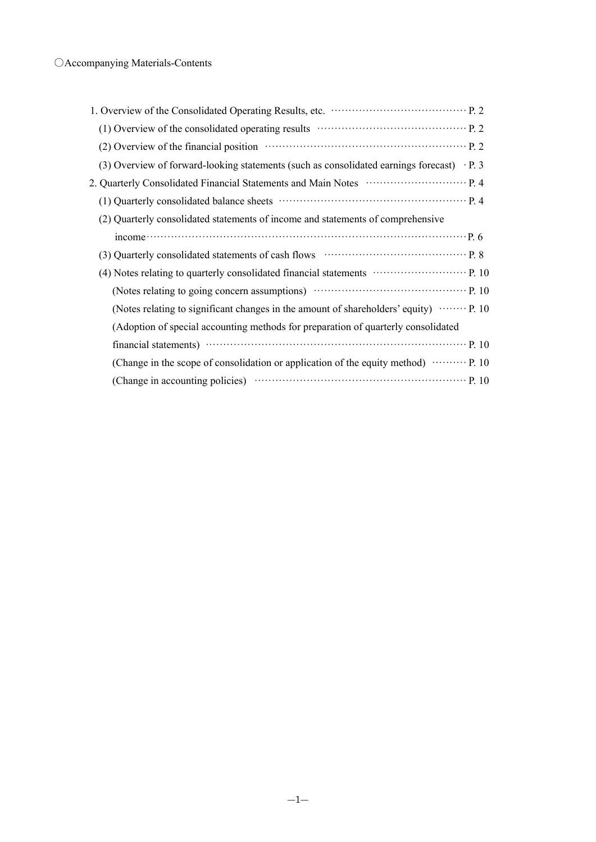| (2) Overview of the financial position material contracts and position p. 2                         |
|-----------------------------------------------------------------------------------------------------|
| (3) Overview of forward-looking statements (such as consolidated earnings forecast) $\cdot$ P. 3    |
|                                                                                                     |
|                                                                                                     |
| (2) Quarterly consolidated statements of income and statements of comprehensive                     |
| $\mathbf{p}, \mathbf{6}$                                                                            |
| (3) Quarterly consolidated statements of cash flows ……………………………………… P. 8                            |
| (4) Notes relating to quarterly consolidated financial statements ………………………… P. 10                  |
| (Notes relating to going concern assumptions) manufactured extends the P. 10                        |
| (Notes relating to significant changes in the amount of shareholders' equity) $\cdots \cdots$ P. 10 |
| (Adoption of special accounting methods for preparation of quarterly consolidated                   |
|                                                                                                     |
| (Change in the scope of consolidation or application of the equity method) $\cdots \cdots$ P. 10    |
|                                                                                                     |
|                                                                                                     |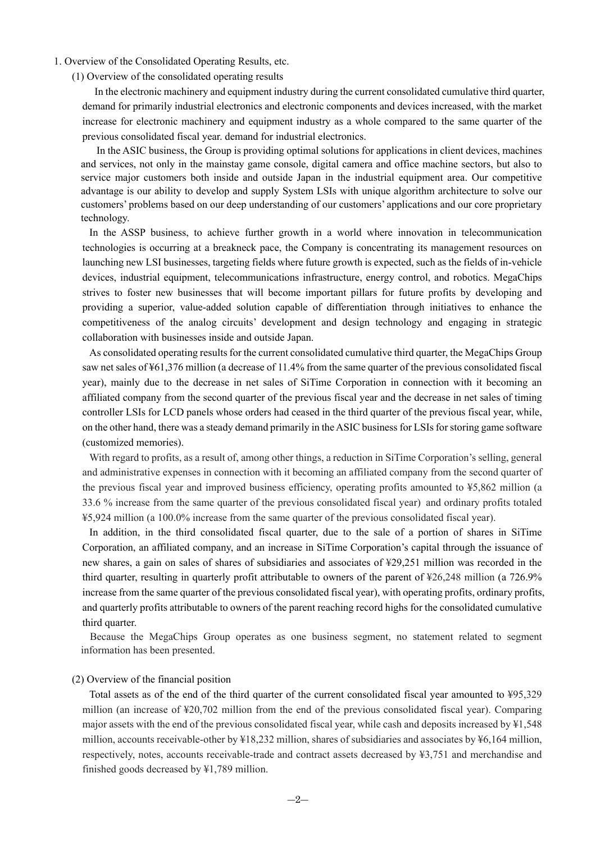1. Overview of the Consolidated Operating Results, etc.

(1) Overview of the consolidated operating results

 In the electronic machinery and equipment industry during the current consolidated cumulative third quarter, demand for primarily industrial electronics and electronic components and devices increased, with the market increase for electronic machinery and equipment industry as a whole compared to the same quarter of the previous consolidated fiscal year. demand for industrial electronics.

In the ASIC business, the Group is providing optimal solutions for applications in client devices, machines and services, not only in the mainstay game console, digital camera and office machine sectors, but also to service major customers both inside and outside Japan in the industrial equipment area. Our competitive advantage is our ability to develop and supply System LSIs with unique algorithm architecture to solve our customers' problems based on our deep understanding of our customers' applications and our core proprietary technology.

In the ASSP business, to achieve further growth in a world where innovation in telecommunication technologies is occurring at a breakneck pace, the Company is concentrating its management resources on launching new LSI businesses, targeting fields where future growth is expected, such as the fields of in-vehicle devices, industrial equipment, telecommunications infrastructure, energy control, and robotics. MegaChips strives to foster new businesses that will become important pillars for future profits by developing and providing a superior, value-added solution capable of differentiation through initiatives to enhance the competitiveness of the analog circuits' development and design technology and engaging in strategic collaboration with businesses inside and outside Japan.

As consolidated operating results for the current consolidated cumulative third quarter, the MegaChips Group saw net sales of ¥61,376 million (a decrease of 11.4% from the same quarter of the previous consolidated fiscal year), mainly due to the decrease in net sales of SiTime Corporation in connection with it becoming an affiliated company from the second quarter of the previous fiscal year and the decrease in net sales of timing controller LSIs for LCD panels whose orders had ceased in the third quarter of the previous fiscal year, while, on the other hand, there was a steady demand primarily in the ASIC business for LSIs for storing game software (customized memories).

With regard to profits, as a result of, among other things, a reduction in SiTime Corporation's selling, general and administrative expenses in connection with it becoming an affiliated company from the second quarter of the previous fiscal year and improved business efficiency, operating profits amounted to ¥5,862 million (a 33.6 % increase from the same quarter of the previous consolidated fiscal year) and ordinary profits totaled ¥5,924 million (a 100.0% increase from the same quarter of the previous consolidated fiscal year).

In addition, in the third consolidated fiscal quarter, due to the sale of a portion of shares in SiTime Corporation, an affiliated company, and an increase in SiTime Corporation's capital through the issuance of new shares, a gain on sales of shares of subsidiaries and associates of ¥29,251 million was recorded in the third quarter, resulting in quarterly profit attributable to owners of the parent of ¥26,248 million (a 726.9% increase from the same quarter of the previous consolidated fiscal year), with operating profits, ordinary profits, and quarterly profits attributable to owners of the parent reaching record highs for the consolidated cumulative third quarter.

Because the MegaChips Group operates as one business segment, no statement related to segment information has been presented.

#### (2) Overview of the financial position

Total assets as of the end of the third quarter of the current consolidated fiscal year amounted to ¥95,329 million (an increase of ¥20,702 million from the end of the previous consolidated fiscal year). Comparing major assets with the end of the previous consolidated fiscal year, while cash and deposits increased by ¥1,548 million, accounts receivable-other by ¥18,232 million, shares of subsidiaries and associates by ¥6,164 million, respectively, notes, accounts receivable-trade and contract assets decreased by ¥3,751 and merchandise and finished goods decreased by ¥1,789 million.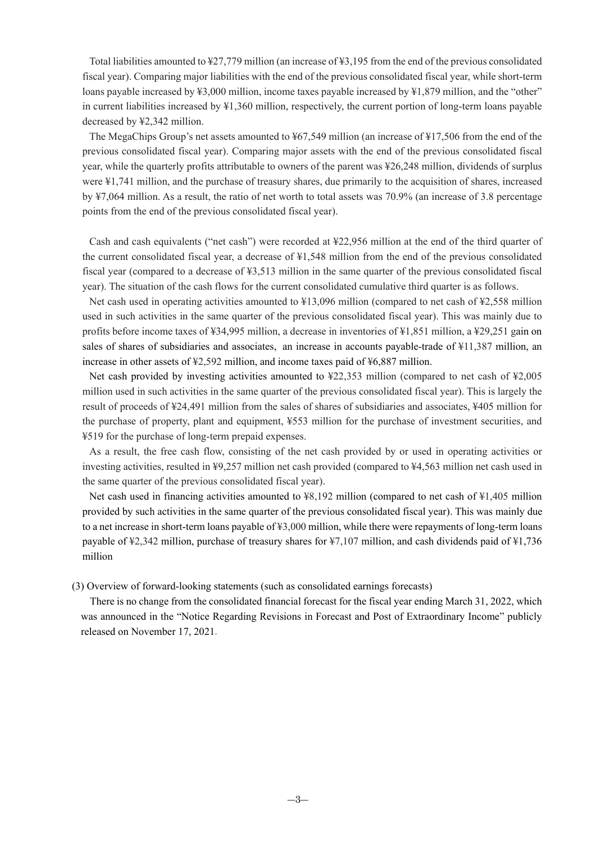Total liabilities amounted to ¥27,779 million (an increase of ¥3,195 from the end of the previous consolidated fiscal year). Comparing major liabilities with the end of the previous consolidated fiscal year, while short-term loans payable increased by ¥3,000 million, income taxes payable increased by ¥1,879 million, and the "other" in current liabilities increased by ¥1,360 million, respectively, the current portion of long-term loans payable decreased by ¥2,342 million.

The MegaChips Group's net assets amounted to ¥67,549 million (an increase of ¥17,506 from the end of the previous consolidated fiscal year). Comparing major assets with the end of the previous consolidated fiscal year, while the quarterly profits attributable to owners of the parent was ¥26,248 million, dividends of surplus were ¥1,741 million, and the purchase of treasury shares, due primarily to the acquisition of shares, increased by ¥7,064 million. As a result, the ratio of net worth to total assets was 70.9% (an increase of 3.8 percentage points from the end of the previous consolidated fiscal year).

Cash and cash equivalents ("net cash") were recorded at ¥22,956 million at the end of the third quarter of the current consolidated fiscal year, a decrease of ¥1,548 million from the end of the previous consolidated fiscal year (compared to a decrease of ¥3,513 million in the same quarter of the previous consolidated fiscal year). The situation of the cash flows for the current consolidated cumulative third quarter is as follows.

Net cash used in operating activities amounted to  $\frac{13,096}{10,000}$  million (compared to net cash of  $\frac{12,558}{10,000}$  million used in such activities in the same quarter of the previous consolidated fiscal year). This was mainly due to profits before income taxes of ¥34,995 million, a decrease in inventories of ¥1,851 million, a ¥29,251 gain on sales of shares of subsidiaries and associates, an increase in accounts payable-trade of ¥11,387 million, an increase in other assets of ¥2,592 million, and income taxes paid of ¥6,887 million.

Net cash provided by investing activities amounted to ¥22,353 million (compared to net cash of ¥2,005 million used in such activities in the same quarter of the previous consolidated fiscal year). This is largely the result of proceeds of ¥24,491 million from the sales of shares of subsidiaries and associates, ¥405 million for the purchase of property, plant and equipment, ¥553 million for the purchase of investment securities, and ¥519 for the purchase of long-term prepaid expenses.

As a result, the free cash flow, consisting of the net cash provided by or used in operating activities or investing activities, resulted in ¥9,257 million net cash provided (compared to ¥4,563 million net cash used in the same quarter of the previous consolidated fiscal year).

Net cash used in financing activities amounted to  $\frac{1}{2}$ , 192 million (compared to net cash of  $\frac{1}{2}$ , 405 million provided by such activities in the same quarter of the previous consolidated fiscal year). This was mainly due to a net increase in short-term loans payable of ¥3,000 million, while there were repayments of long-term loans payable of ¥2,342 million, purchase of treasury shares for ¥7,107 million, and cash dividends paid of ¥1,736 million

#### (3) Overview of forward-looking statements (such as consolidated earnings forecasts)

There is no change from the consolidated financial forecast for the fiscal year ending March 31, 2022, which was announced in the "Notice Regarding Revisions in Forecast and Post of Extraordinary Income" publicly released on November 17, 2021.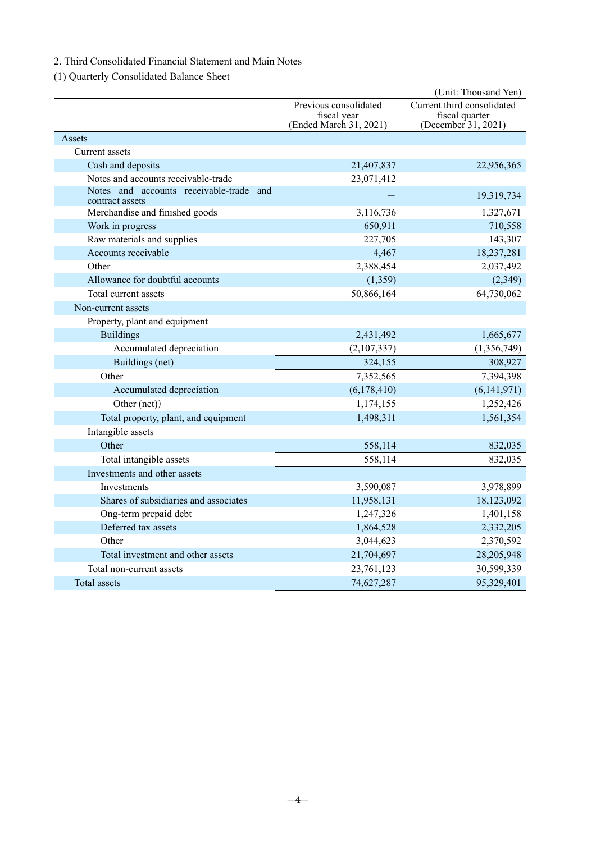## 2. Third Consolidated Financial Statement and Main Notes

(1) Quarterly Consolidated Balance Sheet

|                                                            |                                                                | (Unit: Thousand Yen)                                                |
|------------------------------------------------------------|----------------------------------------------------------------|---------------------------------------------------------------------|
|                                                            | Previous consolidated<br>fiscal year<br>(Ended March 31, 2021) | Current third consolidated<br>fiscal quarter<br>(December 31, 2021) |
| Assets                                                     |                                                                |                                                                     |
| Current assets                                             |                                                                |                                                                     |
| Cash and deposits                                          | 21,407,837                                                     | 22,956,365                                                          |
| Notes and accounts receivable-trade                        | 23,071,412                                                     |                                                                     |
| Notes and accounts receivable-trade and<br>contract assets |                                                                | 19,319,734                                                          |
| Merchandise and finished goods                             | 3,116,736                                                      | 1,327,671                                                           |
| Work in progress                                           | 650,911                                                        | 710,558                                                             |
| Raw materials and supplies                                 | 227,705                                                        | 143,307                                                             |
| Accounts receivable                                        | 4,467                                                          | 18,237,281                                                          |
| Other                                                      | 2,388,454                                                      | 2,037,492                                                           |
| Allowance for doubtful accounts                            | (1, 359)                                                       | (2,349)                                                             |
| Total current assets                                       | 50,866,164                                                     | 64,730,062                                                          |
| Non-current assets                                         |                                                                |                                                                     |
| Property, plant and equipment                              |                                                                |                                                                     |
| <b>Buildings</b>                                           | 2,431,492                                                      | 1,665,677                                                           |
| Accumulated depreciation                                   | (2,107,337)                                                    | (1,356,749)                                                         |
| Buildings (net)                                            | 324,155                                                        | 308,927                                                             |
| Other                                                      | 7,352,565                                                      | 7,394,398                                                           |
| Accumulated depreciation                                   | (6,178,410)                                                    | (6,141,971)                                                         |
| Other (net))                                               | 1,174,155                                                      | 1,252,426                                                           |
| Total property, plant, and equipment                       | 1,498,311                                                      | 1,561,354                                                           |
| Intangible assets                                          |                                                                |                                                                     |
| Other                                                      | 558,114                                                        | 832,035                                                             |
| Total intangible assets                                    | 558,114                                                        | 832,035                                                             |
| Investments and other assets                               |                                                                |                                                                     |
| <b>Investments</b>                                         | 3,590,087                                                      | 3,978,899                                                           |
| Shares of subsidiaries and associates                      | 11,958,131                                                     | 18,123,092                                                          |
| Ong-term prepaid debt                                      | 1,247,326                                                      | 1,401,158                                                           |
| Deferred tax assets                                        | 1,864,528                                                      | 2,332,205                                                           |
| Other                                                      | 3,044,623                                                      | 2,370,592                                                           |
| Total investment and other assets                          | 21,704,697                                                     | 28,205,948                                                          |
| Total non-current assets                                   | 23,761,123                                                     | 30,599,339                                                          |
| Total assets                                               | 74,627,287                                                     | 95,329,401                                                          |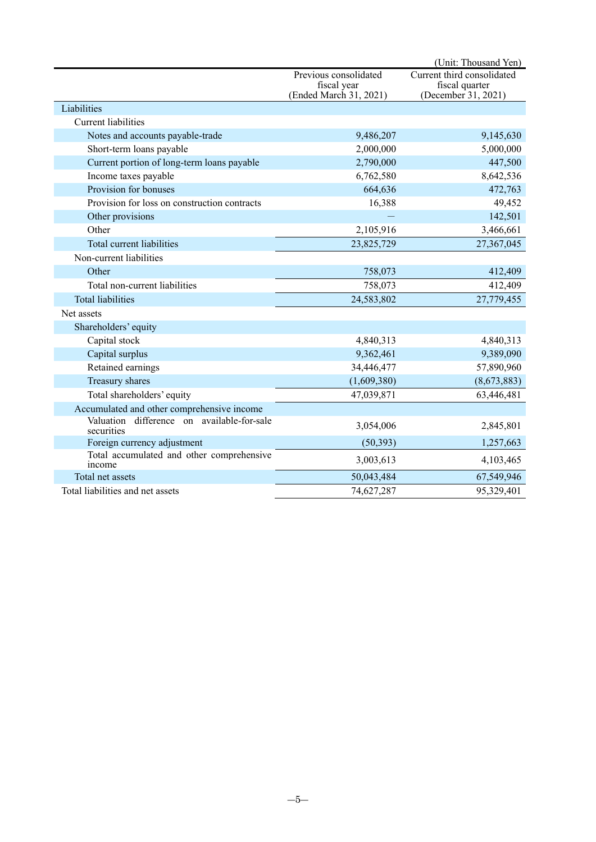|                                                          |                                                                | (Unit: Thousand Yen)                                                |
|----------------------------------------------------------|----------------------------------------------------------------|---------------------------------------------------------------------|
|                                                          | Previous consolidated<br>fiscal year<br>(Ended March 31, 2021) | Current third consolidated<br>fiscal quarter<br>(December 31, 2021) |
| Liabilities                                              |                                                                |                                                                     |
| <b>Current liabilities</b>                               |                                                                |                                                                     |
| Notes and accounts payable-trade                         | 9,486,207                                                      | 9,145,630                                                           |
| Short-term loans payable                                 | 2,000,000                                                      | 5,000,000                                                           |
| Current portion of long-term loans payable               | 2,790,000                                                      | 447,500                                                             |
| Income taxes payable                                     | 6,762,580                                                      | 8,642,536                                                           |
| Provision for bonuses                                    | 664,636                                                        | 472,763                                                             |
| Provision for loss on construction contracts             | 16,388                                                         | 49,452                                                              |
| Other provisions                                         |                                                                | 142,501                                                             |
| Other                                                    | 2,105,916                                                      | 3,466,661                                                           |
| Total current liabilities                                | 23,825,729                                                     | 27,367,045                                                          |
| Non-current liabilities                                  |                                                                |                                                                     |
| Other                                                    | 758,073                                                        | 412,409                                                             |
| Total non-current liabilities                            | 758,073                                                        | 412,409                                                             |
| <b>Total liabilities</b>                                 | 24,583,802                                                     | 27,779,455                                                          |
| Net assets                                               |                                                                |                                                                     |
| Shareholders' equity                                     |                                                                |                                                                     |
| Capital stock                                            | 4,840,313                                                      | 4,840,313                                                           |
| Capital surplus                                          | 9,362,461                                                      | 9,389,090                                                           |
| Retained earnings                                        | 34,446,477                                                     | 57,890,960                                                          |
| Treasury shares                                          | (1,609,380)                                                    | (8,673,883)                                                         |
| Total shareholders' equity                               | 47,039,871                                                     | 63,446,481                                                          |
| Accumulated and other comprehensive income               |                                                                |                                                                     |
| Valuation difference on available-for-sale<br>securities | 3,054,006                                                      | 2,845,801                                                           |
| Foreign currency adjustment                              | (50, 393)                                                      | 1,257,663                                                           |
| Total accumulated and other comprehensive<br>income      | 3,003,613                                                      | 4,103,465                                                           |
| Total net assets                                         | 50,043,484                                                     | 67,549,946                                                          |
| Total liabilities and net assets                         | 74,627,287                                                     | 95,329,401                                                          |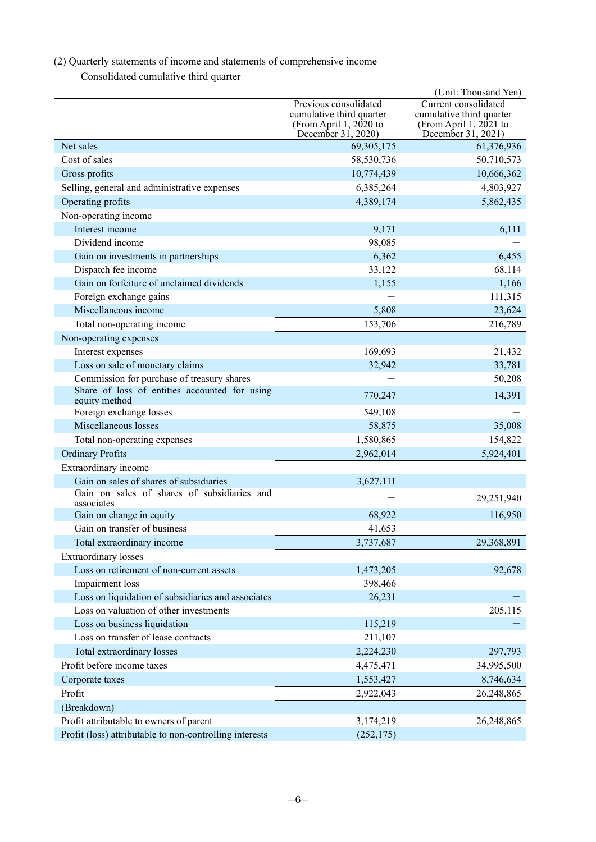## (2) Quarterly statements of income and statements of comprehensive income

Consolidated cumulative third quarter

|                                                                |                                                                                                     | (Unit: Thousand Yen)                                                                               |
|----------------------------------------------------------------|-----------------------------------------------------------------------------------------------------|----------------------------------------------------------------------------------------------------|
|                                                                | Previous consolidated<br>cumulative third quarter<br>(From April 1, $2020$ to<br>December 31, 2020) | Current consolidated<br>cumulative third quarter<br>(From April 1, $2021$ to<br>December 31, 2021) |
| Net sales                                                      | 69, 305, 175                                                                                        | 61,376,936                                                                                         |
| Cost of sales                                                  | 58,530,736                                                                                          | 50,710,573                                                                                         |
| Gross profits                                                  | 10,774,439                                                                                          | 10,666,362                                                                                         |
| Selling, general and administrative expenses                   | 6,385,264                                                                                           | 4,803,927                                                                                          |
| Operating profits                                              | 4,389,174                                                                                           | 5,862,435                                                                                          |
| Non-operating income                                           |                                                                                                     |                                                                                                    |
| Interest income                                                | 9,171                                                                                               | 6,111                                                                                              |
| Dividend income                                                | 98,085                                                                                              |                                                                                                    |
| Gain on investments in partnerships                            | 6,362                                                                                               | 6,455                                                                                              |
| Dispatch fee income                                            | 33,122                                                                                              | 68,114                                                                                             |
| Gain on forfeiture of unclaimed dividends                      | 1,155                                                                                               | 1,166                                                                                              |
| Foreign exchange gains                                         |                                                                                                     | 111,315                                                                                            |
| Miscellaneous income                                           | 5,808                                                                                               | 23,624                                                                                             |
| Total non-operating income                                     | 153,706                                                                                             | 216,789                                                                                            |
| Non-operating expenses                                         |                                                                                                     |                                                                                                    |
| Interest expenses                                              | 169,693                                                                                             | 21,432                                                                                             |
| Loss on sale of monetary claims                                | 32,942                                                                                              | 33,781                                                                                             |
| Commission for purchase of treasury shares                     |                                                                                                     | 50,208                                                                                             |
| Share of loss of entities accounted for using<br>equity method | 770,247                                                                                             | 14,391                                                                                             |
| Foreign exchange losses                                        | 549,108                                                                                             |                                                                                                    |
| Miscellaneous losses                                           | 58,875                                                                                              | 35,008                                                                                             |
| Total non-operating expenses                                   | 1,580,865                                                                                           | 154,822                                                                                            |
| <b>Ordinary Profits</b>                                        | 2,962,014                                                                                           | 5,924,401                                                                                          |
| Extraordinary income                                           |                                                                                                     |                                                                                                    |
| Gain on sales of shares of subsidiaries                        | 3,627,111                                                                                           |                                                                                                    |
| Gain on sales of shares of subsidiaries and<br>associates      |                                                                                                     | 29,251,940                                                                                         |
| Gain on change in equity                                       | 68,922                                                                                              | 116,950                                                                                            |
| Gain on transfer of business                                   | 41,653                                                                                              |                                                                                                    |
| Total extraordinary income                                     | 3,737,687                                                                                           | 29,368,891                                                                                         |
| <b>Extraordinary losses</b>                                    |                                                                                                     |                                                                                                    |
| Loss on retirement of non-current assets                       | 1,473,205                                                                                           | 92,678                                                                                             |
| Impairment loss                                                | 398,466                                                                                             |                                                                                                    |
| Loss on liquidation of subsidiaries and associates             | 26,231                                                                                              |                                                                                                    |
| Loss on valuation of other investments                         |                                                                                                     | 205,115                                                                                            |
| Loss on business liquidation                                   | 115,219                                                                                             |                                                                                                    |
| Loss on transfer of lease contracts                            | 211,107                                                                                             |                                                                                                    |
| Total extraordinary losses                                     | 2,224,230                                                                                           | 297,793                                                                                            |
| Profit before income taxes                                     | 4,475,471                                                                                           | 34,995,500                                                                                         |
| Corporate taxes                                                | 1,553,427                                                                                           | 8,746,634                                                                                          |
| Profit                                                         | 2,922,043                                                                                           | 26,248,865                                                                                         |
| (Breakdown)                                                    |                                                                                                     |                                                                                                    |
| Profit attributable to owners of parent                        | 3,174,219                                                                                           | 26,248,865                                                                                         |
| Profit (loss) attributable to non-controlling interests        | (252, 175)                                                                                          |                                                                                                    |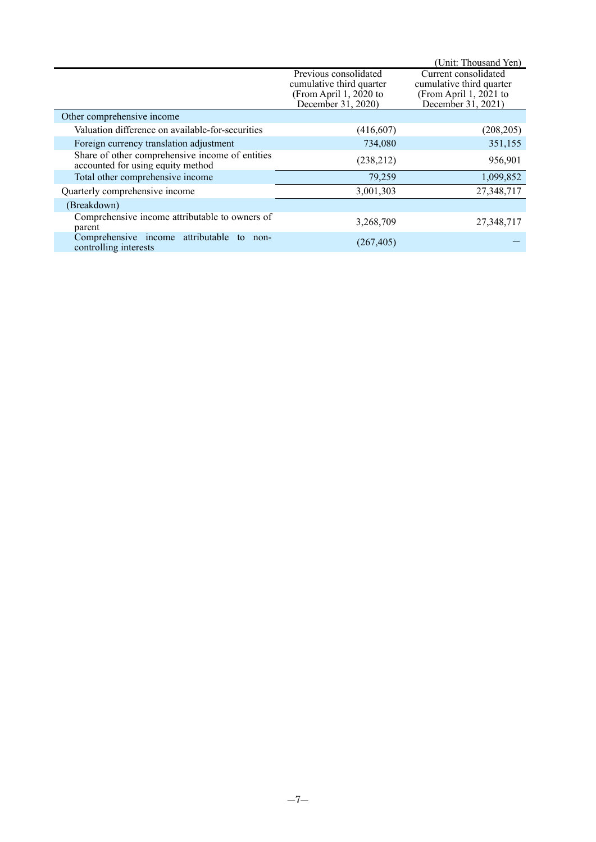|                                                                                      |                                                                                                     | (Unit: Thousand Yen)                                                                               |
|--------------------------------------------------------------------------------------|-----------------------------------------------------------------------------------------------------|----------------------------------------------------------------------------------------------------|
|                                                                                      | Previous consolidated<br>cumulative third quarter<br>(From April 1, $2020$ to<br>December 31, 2020) | Current consolidated<br>cumulative third quarter<br>(From April 1, $2021$ to<br>December 31, 2021) |
| Other comprehensive income                                                           |                                                                                                     |                                                                                                    |
| Valuation difference on available-for-securities                                     | (416, 607)                                                                                          | (208, 205)                                                                                         |
| Foreign currency translation adjustment                                              | 734,080                                                                                             | 351,155                                                                                            |
| Share of other comprehensive income of entities<br>accounted for using equity method | (238,212)                                                                                           | 956,901                                                                                            |
| Total other comprehensive income                                                     | 79,259                                                                                              | 1,099,852                                                                                          |
| Quarterly comprehensive income                                                       | 3,001,303                                                                                           | 27,348,717                                                                                         |
| (Breakdown)                                                                          |                                                                                                     |                                                                                                    |
| Comprehensive income attributable to owners of<br>parent                             | 3,268,709                                                                                           | 27,348,717                                                                                         |
| Comprehensive income attributable<br>to<br>non-<br>controlling interests             | (267, 405)                                                                                          |                                                                                                    |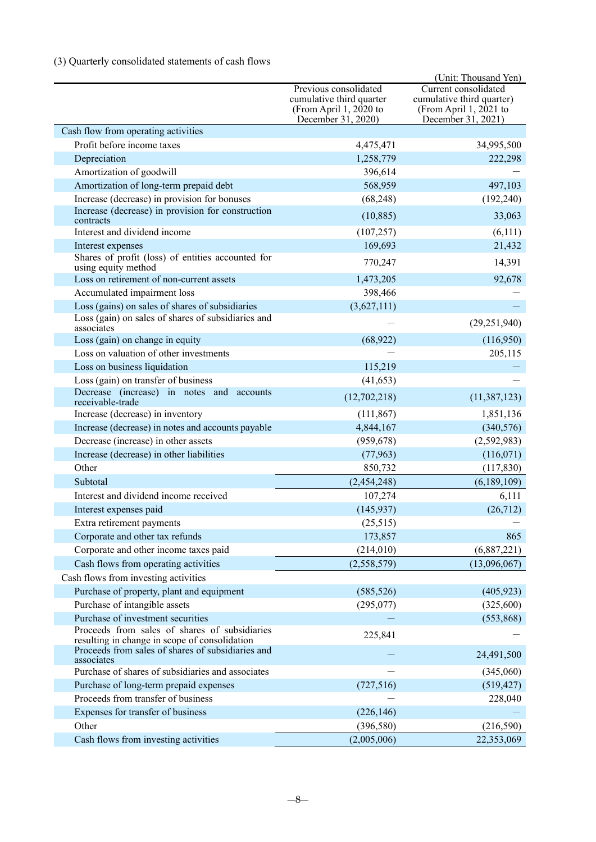## (3) Quarterly consolidated statements of cash flows

|                                                                                                |                                                                                                   | (Unit: Thousand Yen)                                                                                |
|------------------------------------------------------------------------------------------------|---------------------------------------------------------------------------------------------------|-----------------------------------------------------------------------------------------------------|
|                                                                                                | Previous consolidated<br>cumulative third quarter<br>(From April 1, 2020 to<br>December 31, 2020) | Current consolidated<br>cumulative third quarter)<br>(From April 1, $2021$ to<br>December 31, 2021) |
| Cash flow from operating activities                                                            |                                                                                                   |                                                                                                     |
| Profit before income taxes                                                                     | 4,475,471                                                                                         | 34,995,500                                                                                          |
| Depreciation                                                                                   | 1,258,779                                                                                         | 222,298                                                                                             |
| Amortization of goodwill                                                                       | 396,614                                                                                           |                                                                                                     |
| Amortization of long-term prepaid debt                                                         | 568,959                                                                                           | 497,103                                                                                             |
| Increase (decrease) in provision for bonuses                                                   | (68, 248)                                                                                         | (192, 240)                                                                                          |
| Increase (decrease) in provision for construction<br>contracts                                 | (10, 885)                                                                                         | 33,063                                                                                              |
| Interest and dividend income                                                                   | (107, 257)                                                                                        | (6,111)                                                                                             |
| Interest expenses                                                                              | 169,693                                                                                           | 21,432                                                                                              |
| Shares of profit (loss) of entities accounted for<br>using equity method                       | 770,247                                                                                           | 14,391                                                                                              |
| Loss on retirement of non-current assets                                                       | 1,473,205                                                                                         | 92,678                                                                                              |
| Accumulated impairment loss                                                                    | 398,466                                                                                           |                                                                                                     |
| Loss (gains) on sales of shares of subsidiaries                                                | (3,627,111)                                                                                       |                                                                                                     |
| Loss (gain) on sales of shares of subsidiaries and<br>associates                               |                                                                                                   | (29, 251, 940)                                                                                      |
| Loss (gain) on change in equity                                                                | (68, 922)                                                                                         | (116,950)                                                                                           |
| Loss on valuation of other investments                                                         |                                                                                                   | 205,115                                                                                             |
| Loss on business liquidation                                                                   | 115,219                                                                                           |                                                                                                     |
| Loss (gain) on transfer of business                                                            | (41, 653)                                                                                         |                                                                                                     |
| Decrease (increase) in notes and accounts<br>receivable-trade                                  | (12,702,218)                                                                                      | (11, 387, 123)                                                                                      |
| Increase (decrease) in inventory                                                               | (111, 867)                                                                                        | 1,851,136                                                                                           |
| Increase (decrease) in notes and accounts payable                                              | 4,844,167                                                                                         | (340, 576)                                                                                          |
| Decrease (increase) in other assets                                                            | (959, 678)                                                                                        | (2,592,983)                                                                                         |
| Increase (decrease) in other liabilities                                                       | (77, 963)                                                                                         | (116,071)                                                                                           |
| Other                                                                                          | 850,732                                                                                           | (117, 830)                                                                                          |
| Subtotal                                                                                       | (2,454,248)                                                                                       | (6,189,109)                                                                                         |
| Interest and dividend income received                                                          | 107,274                                                                                           | 6,111                                                                                               |
| Interest expenses paid                                                                         | (145, 937)                                                                                        | (26,712)                                                                                            |
| Extra retirement payments                                                                      | (25,515)                                                                                          |                                                                                                     |
| Corporate and other tax refunds                                                                | 173,857                                                                                           | 865                                                                                                 |
| Corporate and other income taxes paid                                                          | (214, 010)                                                                                        | (6,887,221)                                                                                         |
| Cash flows from operating activities                                                           | (2,558,579)                                                                                       | (13,096,067)                                                                                        |
| Cash flows from investing activities                                                           |                                                                                                   |                                                                                                     |
| Purchase of property, plant and equipment                                                      | (585, 526)                                                                                        | (405, 923)                                                                                          |
| Purchase of intangible assets                                                                  | (295,077)                                                                                         | (325,600)                                                                                           |
| Purchase of investment securities                                                              |                                                                                                   | (553, 868)                                                                                          |
| Proceeds from sales of shares of subsidiaries<br>resulting in change in scope of consolidation | 225,841                                                                                           |                                                                                                     |
| Proceeds from sales of shares of subsidiaries and<br>associates                                |                                                                                                   | 24,491,500                                                                                          |
| Purchase of shares of subsidiaries and associates                                              |                                                                                                   | (345,060)                                                                                           |
| Purchase of long-term prepaid expenses                                                         | (727, 516)                                                                                        | (519, 427)                                                                                          |
| Proceeds from transfer of business                                                             |                                                                                                   | 228,040                                                                                             |
| Expenses for transfer of business                                                              | (226, 146)                                                                                        |                                                                                                     |
| Other                                                                                          | (396, 580)                                                                                        | (216, 590)                                                                                          |
| Cash flows from investing activities                                                           | (2,005,006)                                                                                       | 22,353,069                                                                                          |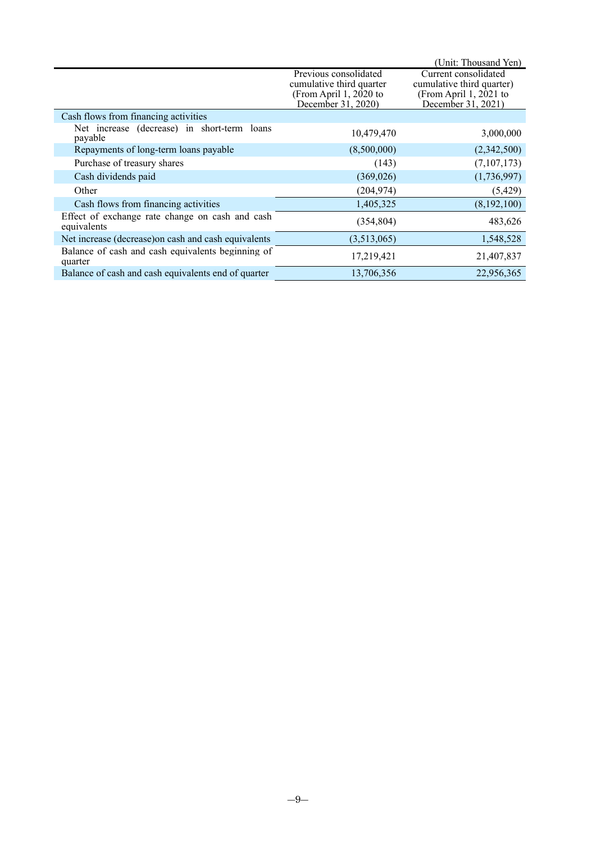|                                                                |                                                                                                     | (Unit: Thousand Yen)                                                                                |
|----------------------------------------------------------------|-----------------------------------------------------------------------------------------------------|-----------------------------------------------------------------------------------------------------|
|                                                                | Previous consolidated<br>cumulative third quarter<br>(From April 1, $2020$ to<br>December 31, 2020) | Current consolidated<br>cumulative third quarter)<br>(From April 1, $2021$ to<br>December 31, 2021) |
| Cash flows from financing activities                           |                                                                                                     |                                                                                                     |
| Net increase (decrease) in short-term loans<br>payable         | 10,479,470                                                                                          | 3,000,000                                                                                           |
| Repayments of long-term loans payable                          | (8,500,000)                                                                                         | (2,342,500)                                                                                         |
| Purchase of treasury shares                                    | (143)                                                                                               | (7,107,173)                                                                                         |
| Cash dividends paid                                            | (369, 026)                                                                                          | (1,736,997)                                                                                         |
| Other                                                          | (204, 974)                                                                                          | (5,429)                                                                                             |
| Cash flows from financing activities                           | 1,405,325                                                                                           | (8,192,100)                                                                                         |
| Effect of exchange rate change on cash and cash<br>equivalents | (354, 804)                                                                                          | 483,626                                                                                             |
| Net increase (decrease) on cash and cash equivalents           | (3,513,065)                                                                                         | 1,548,528                                                                                           |
| Balance of cash and cash equivalents beginning of<br>quarter   | 17,219,421                                                                                          | 21,407,837                                                                                          |
| Balance of cash and cash equivalents end of quarter            | 13,706,356                                                                                          | 22,956,365                                                                                          |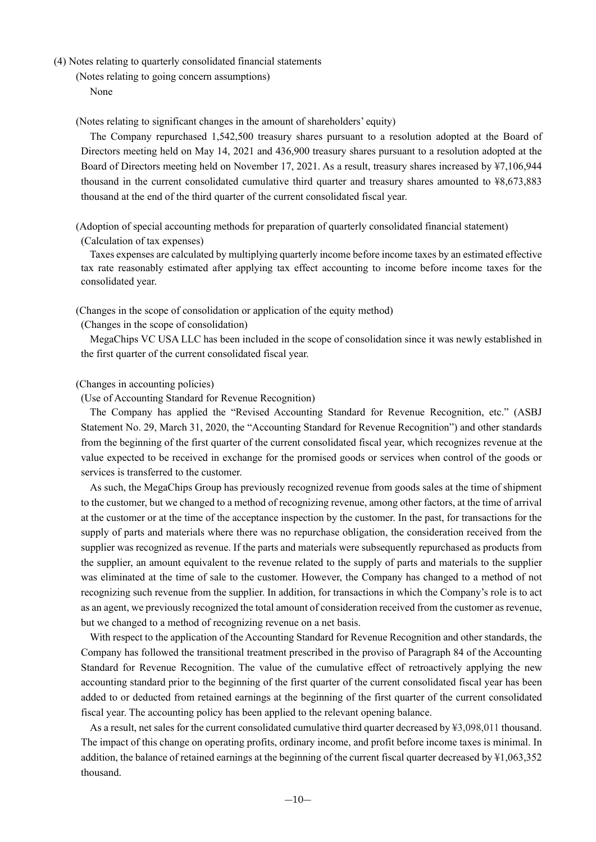(4) Notes relating to quarterly consolidated financial statements

(Notes relating to going concern assumptions) None

(Notes relating to significant changes in the amount of shareholders' equity)

The Company repurchased 1,542,500 treasury shares pursuant to a resolution adopted at the Board of Directors meeting held on May 14, 2021 and 436,900 treasury shares pursuant to a resolution adopted at the Board of Directors meeting held on November 17, 2021. As a result, treasury shares increased by ¥7,106,944 thousand in the current consolidated cumulative third quarter and treasury shares amounted to ¥8,673,883 thousand at the end of the third quarter of the current consolidated fiscal year.

(Adoption of special accounting methods for preparation of quarterly consolidated financial statement) (Calculation of tax expenses)

Taxes expenses are calculated by multiplying quarterly income before income taxes by an estimated effective tax rate reasonably estimated after applying tax effect accounting to income before income taxes for the consolidated year.

(Changes in the scope of consolidation or application of the equity method)

(Changes in the scope of consolidation)

MegaChips VC USA LLC has been included in the scope of consolidation since it was newly established in the first quarter of the current consolidated fiscal year.

#### (Changes in accounting policies)

(Use of Accounting Standard for Revenue Recognition)

The Company has applied the "Revised Accounting Standard for Revenue Recognition, etc." (ASBJ Statement No. 29, March 31, 2020, the "Accounting Standard for Revenue Recognition") and other standards from the beginning of the first quarter of the current consolidated fiscal year, which recognizes revenue at the value expected to be received in exchange for the promised goods or services when control of the goods or services is transferred to the customer.

As such, the MegaChips Group has previously recognized revenue from goods sales at the time of shipment to the customer, but we changed to a method of recognizing revenue, among other factors, at the time of arrival at the customer or at the time of the acceptance inspection by the customer. In the past, for transactions for the supply of parts and materials where there was no repurchase obligation, the consideration received from the supplier was recognized as revenue. If the parts and materials were subsequently repurchased as products from the supplier, an amount equivalent to the revenue related to the supply of parts and materials to the supplier was eliminated at the time of sale to the customer. However, the Company has changed to a method of not recognizing such revenue from the supplier. In addition, for transactions in which the Company's role is to act as an agent, we previously recognized the total amount of consideration received from the customer as revenue, but we changed to a method of recognizing revenue on a net basis.

With respect to the application of the Accounting Standard for Revenue Recognition and other standards, the Company has followed the transitional treatment prescribed in the proviso of Paragraph 84 of the Accounting Standard for Revenue Recognition. The value of the cumulative effect of retroactively applying the new accounting standard prior to the beginning of the first quarter of the current consolidated fiscal year has been added to or deducted from retained earnings at the beginning of the first quarter of the current consolidated fiscal year. The accounting policy has been applied to the relevant opening balance.

As a result, net sales for the current consolidated cumulative third quarter decreased by ¥3,098,011 thousand. The impact of this change on operating profits, ordinary income, and profit before income taxes is minimal. In addition, the balance of retained earnings at the beginning of the current fiscal quarter decreased by ¥1,063,352 thousand.